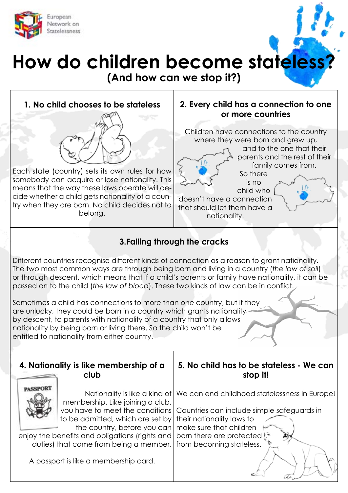

## **How do children become stateless?**

**(And how can we stop it?)**



## **3.Falling through the cracks**

Different countries recognise different kinds of connection as a reason to grant nationality. The two most common ways are through being born and living in a country (*the law of soil*) or through descent, which means that if a child's parents or family have nationality, it can be passed on to the child (*the law of blood*). These two kinds of law can be in conflict.

Sometimes a child has connections to more than one country, but if they are unlucky, they could be born in a country which grants nationality by descent, to parents with nationality of a country that only allows nationality by being born or living there. So the child won't be entitled to nationality from either country.

|                                                                                                          | 4. Nationality is like membership of a<br>club                                                                                                          | 5. No child has to be stateless - We can<br>stop it!                                                                                                                                                                                       |
|----------------------------------------------------------------------------------------------------------|---------------------------------------------------------------------------------------------------------------------------------------------------------|--------------------------------------------------------------------------------------------------------------------------------------------------------------------------------------------------------------------------------------------|
|                                                                                                          | membership. Like joining a club,<br>to be admitted, which are set by their nationality laws to<br>the country, before you can   make sure that children | Nationality is like a kind of   We can end childhood statelessness in Europe!<br>you have to meet the conditions Countries can include simple safeguards in<br>enjoy the benefits and obligations (rights and   born there are protected). |
| duties) that come from being a member. from becoming stateless.<br>A passport is like a membership card. |                                                                                                                                                         |                                                                                                                                                                                                                                            |